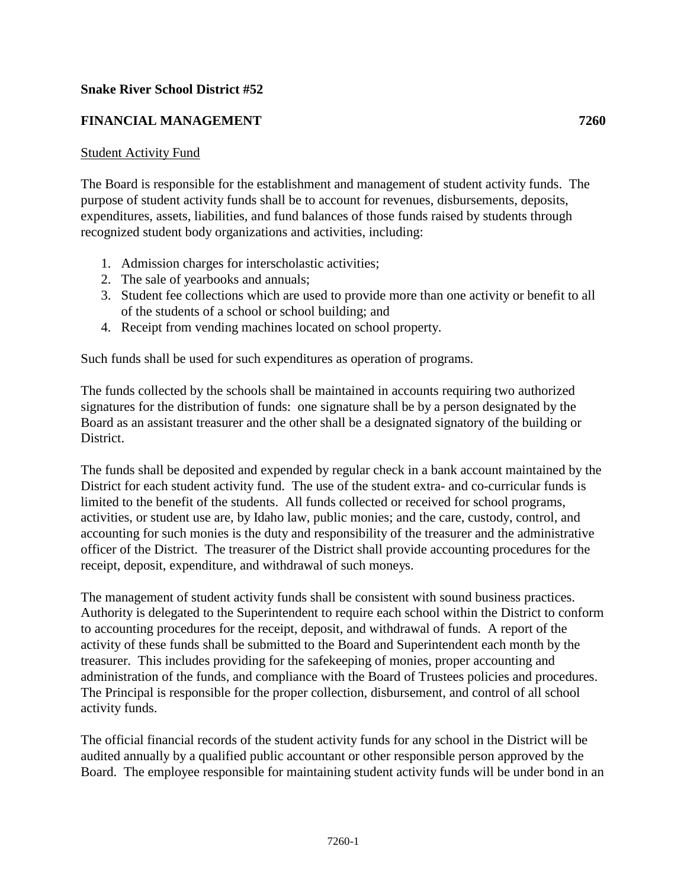## **Snake River School District #52**

## **FINANCIAL MANAGEMENT 7260**

## Student Activity Fund

The Board is responsible for the establishment and management of student activity funds. The purpose of student activity funds shall be to account for revenues, disbursements, deposits, expenditures, assets, liabilities, and fund balances of those funds raised by students through recognized student body organizations and activities, including:

- 1. Admission charges for interscholastic activities;
- 2. The sale of yearbooks and annuals;
- 3. Student fee collections which are used to provide more than one activity or benefit to all of the students of a school or school building; and
- 4. Receipt from vending machines located on school property.

Such funds shall be used for such expenditures as operation of programs.

The funds collected by the schools shall be maintained in accounts requiring two authorized signatures for the distribution of funds: one signature shall be by a person designated by the Board as an assistant treasurer and the other shall be a designated signatory of the building or District.

The funds shall be deposited and expended by regular check in a bank account maintained by the District for each student activity fund. The use of the student extra- and co-curricular funds is limited to the benefit of the students. All funds collected or received for school programs, activities, or student use are, by Idaho law, public monies; and the care, custody, control, and accounting for such monies is the duty and responsibility of the treasurer and the administrative officer of the District. The treasurer of the District shall provide accounting procedures for the receipt, deposit, expenditure, and withdrawal of such moneys.

The management of student activity funds shall be consistent with sound business practices. Authority is delegated to the Superintendent to require each school within the District to conform to accounting procedures for the receipt, deposit, and withdrawal of funds. A report of the activity of these funds shall be submitted to the Board and Superintendent each month by the treasurer. This includes providing for the safekeeping of monies, proper accounting and administration of the funds, and compliance with the Board of Trustees policies and procedures. The Principal is responsible for the proper collection, disbursement, and control of all school activity funds.

The official financial records of the student activity funds for any school in the District will be audited annually by a qualified public accountant or other responsible person approved by the Board. The employee responsible for maintaining student activity funds will be under bond in an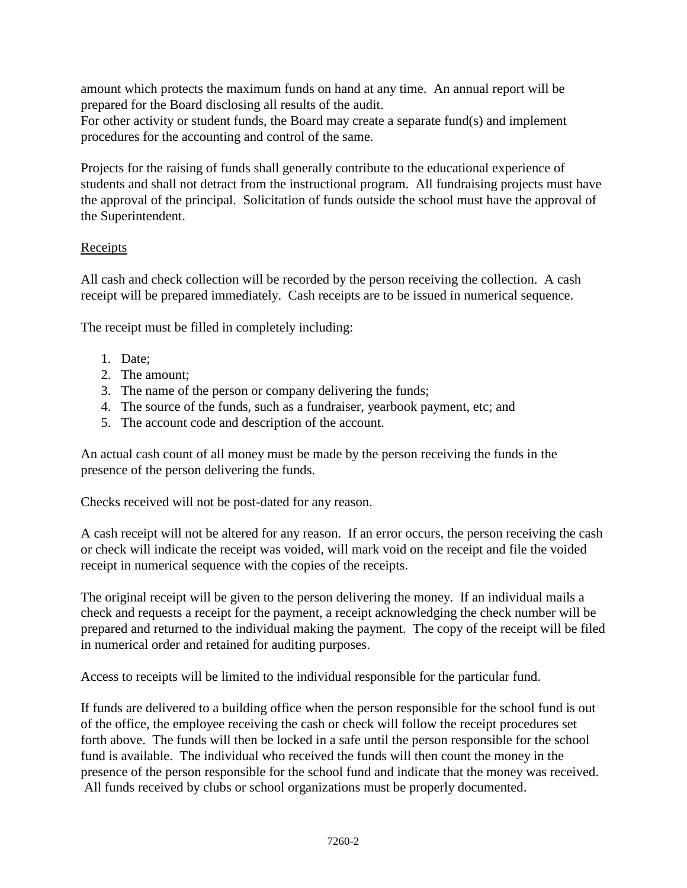amount which protects the maximum funds on hand at any time. An annual report will be prepared for the Board disclosing all results of the audit.

For other activity or student funds, the Board may create a separate fund(s) and implement procedures for the accounting and control of the same.

Projects for the raising of funds shall generally contribute to the educational experience of students and shall not detract from the instructional program. All fundraising projects must have the approval of the principal. Solicitation of funds outside the school must have the approval of the Superintendent.

## Receipts

All cash and check collection will be recorded by the person receiving the collection. A cash receipt will be prepared immediately. Cash receipts are to be issued in numerical sequence.

The receipt must be filled in completely including:

- 1. Date;
- 2. The amount;
- 3. The name of the person or company delivering the funds;
- 4. The source of the funds, such as a fundraiser, yearbook payment, etc; and
- 5. The account code and description of the account.

An actual cash count of all money must be made by the person receiving the funds in the presence of the person delivering the funds.

Checks received will not be post-dated for any reason.

A cash receipt will not be altered for any reason. If an error occurs, the person receiving the cash or check will indicate the receipt was voided, will mark void on the receipt and file the voided receipt in numerical sequence with the copies of the receipts.

The original receipt will be given to the person delivering the money. If an individual mails a check and requests a receipt for the payment, a receipt acknowledging the check number will be prepared and returned to the individual making the payment. The copy of the receipt will be filed in numerical order and retained for auditing purposes.

Access to receipts will be limited to the individual responsible for the particular fund.

If funds are delivered to a building office when the person responsible for the school fund is out of the office, the employee receiving the cash or check will follow the receipt procedures set forth above. The funds will then be locked in a safe until the person responsible for the school fund is available. The individual who received the funds will then count the money in the presence of the person responsible for the school fund and indicate that the money was received. All funds received by clubs or school organizations must be properly documented.